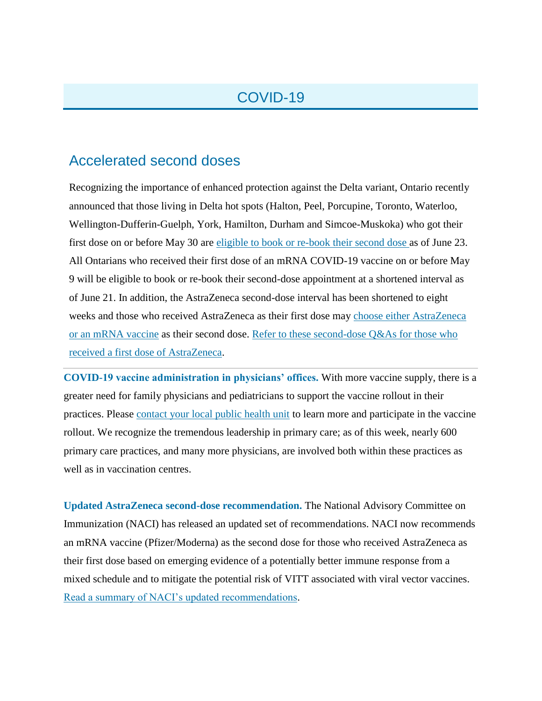## COVID-19

## Accelerated second doses

Recognizing the importance of enhanced protection against the Delta variant, Ontario recently announced that those living in Delta hot spots (Halton, Peel, Porcupine, Toronto, Waterloo, Wellington-Dufferin-Guelph, York, Hamilton, Durham and Simcoe-Muskoka) who got their first dose on or before May 30 are [eligible to book or re-book their second dose a](http://click.info.oma.org/?qs=32828e17282ee487728b5f251165df1388e63bb31c4b4d4c53ac30cb2f35ecafb9f21e0a4096661bbd79ff1beb28b7de19fc94efb1c1bf2b)s of June 23. All Ontarians who received their first dose of an mRNA COVID-19 vaccine on or before May 9 will be eligible to book or re-book their second-dose appointment at a shortened interval as of June 21. In addition, the AstraZeneca second-dose interval has been shortened to eight weeks and those who received AstraZeneca as their first dose may [choose either AstraZeneca](http://click.info.oma.org/?qs=32828e17282ee487a06277f7e1d4c3bf1594989d7b2863b76e9e3746b7922a66d0fbf2415054b24af40693d7f14d1647fd3f545a7c895d91)  [or an mRNA vaccine](http://click.info.oma.org/?qs=32828e17282ee487a06277f7e1d4c3bf1594989d7b2863b76e9e3746b7922a66d0fbf2415054b24af40693d7f14d1647fd3f545a7c895d91) as their second dose. [Refer to these second-dose Q&As for those who](http://click.info.oma.org/?qs=32828e17282ee4877693394035187c834e815ef5598d0be5cd536232886e508bf82c33629b7940d9cbceba8c8b7a814fd4f9a67e6520b91e)  [received a first dose of AstraZeneca.](http://click.info.oma.org/?qs=32828e17282ee4877693394035187c834e815ef5598d0be5cd536232886e508bf82c33629b7940d9cbceba8c8b7a814fd4f9a67e6520b91e)

**COVID-19 vaccine administration in physicians' offices.** With more vaccine supply, there is a greater need for family physicians and pediatricians to support the vaccine rollout in their practices. Please [contact your local public health unit](http://click.info.oma.org/?qs=32828e17282ee48735ba5690ffd1ffecd0d77b78dfab949051ec7a4c8bc09c219184df8cf37b2853a0c4944f57edc24a3585d4cc92bf853e) to learn more and participate in the vaccine rollout. We recognize the tremendous leadership in primary care; as of this week, nearly 600 primary care practices, and many more physicians, are involved both within these practices as well as in vaccination centres.

**Updated AstraZeneca second-dose recommendation.** The National Advisory Committee on Immunization (NACI) has released an updated set of recommendations. NACI now recommends an mRNA vaccine (Pfizer/Moderna) as the second dose for those who received AstraZeneca as their first dose based on emerging evidence of a potentially better immune response from a mixed schedule and to mitigate the potential risk of VITT associated with viral vector vaccines. [Read a summary of NACI's updated recommendations.](http://click.info.oma.org/?qs=32828e17282ee4874e50e44595bbb41c7e0a1bdfba19cf3d73bdd4f8c892a366d9a5b97eab7844d55ba0ac2f5e8a3c538f0fc8d8e9a76d78)